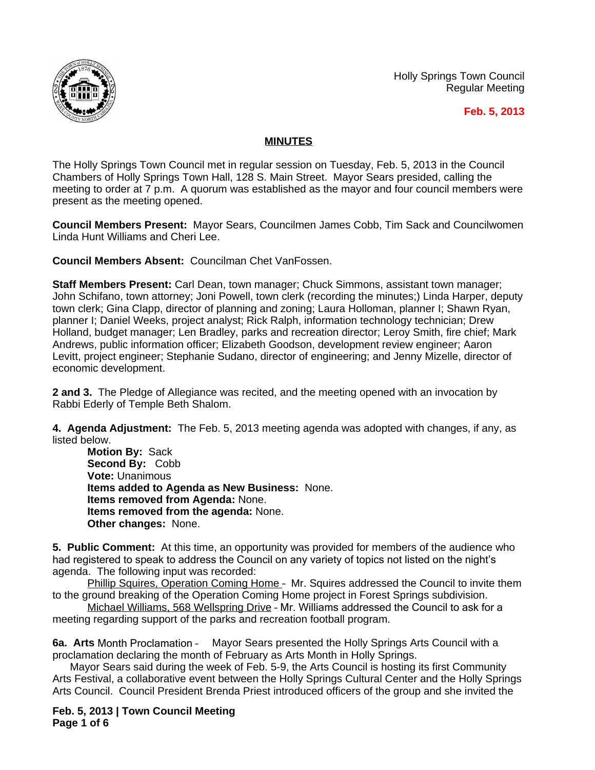

Holly Springs Town Council Regular Meeting

 **Feb. 5, 2013**

## **MINUTES**

The Holly Springs Town Council met in regular session on Tuesday, Feb. 5, 2013 in the Council Chambers of Holly Springs Town Hall, 128 S. Main Street. Mayor Sears presided, calling the meeting to order at 7 p.m. A quorum was established as the mayor and four council members were present as the meeting opened.

**Council Members Present:** Mayor Sears, Councilmen James Cobb, Tim Sack and Councilwomen Linda Hunt Williams and Cheri Lee.

**Council Members Absent:** Councilman Chet VanFossen.

**Staff Members Present:** Carl Dean, town manager; Chuck Simmons, assistant town manager; John Schifano, town attorney; Joni Powell, town clerk (recording the minutes;) Linda Harper, deputy town clerk; Gina Clapp, director of planning and zoning; Laura Holloman, planner I; Shawn Ryan, planner I; Daniel Weeks, project analyst; Rick Ralph, information technology technician; Drew Holland, budget manager; Len Bradley, parks and recreation director; Leroy Smith, fire chief; Mark Andrews, public information officer; Elizabeth Goodson, development review engineer; Aaron Levitt, project engineer; Stephanie Sudano, director of engineering; and Jenny Mizelle, director of economic development.

**2 and 3.** The Pledge of Allegiance was recited, and the meeting opened with an invocation by Rabbi Ederly of Temple Beth Shalom.

**4. Agenda Adjustment:** The Feb. 5, 2013 meeting agenda was adopted with changes, if any, as listed below.

**Motion By:** Sack **Second By:** Cobb **Vote:** Unanimous **Items added to Agenda as New Business:** None. **Items removed from Agenda:** None. **Items removed from the agenda:** None. **Other changes:** None.

**5. Public Comment:** At this time, an opportunity was provided for members of the audience who had registered to speak to address the Council on any variety of topics not listed on the night's agenda. The following input was recorded:

Phillip Squires, Operation Coming Home – Mr. Squires addressed the Council to invite them to the ground breaking of the Operation Coming Home project in Forest Springs subdivision.

Michael Williams, 568 Wellspring Drive – Mr. Williams addressed the Council to ask for a meeting regarding support of the parks and recreation football program.

**6a. Arts** Month Proclamation – Mayor Sears presented the Holly Springs Arts Council with a proclamation declaring the month of February as Arts Month in Holly Springs.

Mayor Sears said during the week of Feb. 5-9, the Arts Council is hosting its first Community Arts Festival, a collaborative event between the Holly Springs Cultural Center and the Holly Springs Arts Council. Council President Brenda Priest introduced officers of the group and she invited the

**Feb. 5, 2013 | Town Council Meeting Page 1 of 6**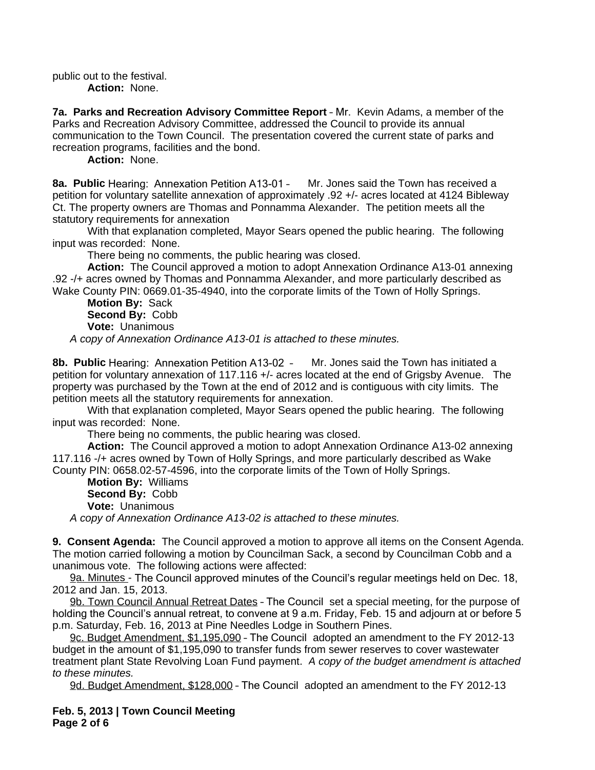public out to the festival. **Action:** None.

**7a. Parks and Recreation Advisory Committee Report** – Mr. Kevin Adams, a member of the Parks and Recreation Advisory Committee, addressed the Council to provide its annual communication to the Town Council. The presentation covered the current state of parks and recreation programs, facilities and the bond.

**Action:** None.

**8a. Public** Hearing: Annexation Petition A13-01 – Mr. Jones said the Town has received a petition for voluntary satellite annexation of approximately .92 +/- acres located at 4124 Bibleway Ct. The property owners are Thomas and Ponnamma Alexander. The petition meets all the statutory requirements for annexation

With that explanation completed, Mayor Sears opened the public hearing. The following input was recorded: None.

There being no comments, the public hearing was closed.

**Action:** The Council approved a motion to adopt Annexation Ordinance A13-01 annexing .92 -/+ acres owned by Thomas and Ponnamma Alexander, and more particularly described as Wake County PIN: 0669.01-35-4940, into the corporate limits of the Town of Holly Springs.

**Motion By:** Sack **Second By:** Cobb **Vote:** Unanimous

*A copy of Annexation Ordinance A13-01 is attached to these minutes.*

**8b. Public** Hearing: Annexation Petition A13-02 – Mr. Jones said the Town has initiated a petition for voluntary annexation of 117.116 +/- acres located at the end of Grigsby Avenue. The property was purchased by the Town at the end of 2012 and is contiguous with city limits. The petition meets all the statutory requirements for annexation.

With that explanation completed, Mayor Sears opened the public hearing. The following input was recorded: None.

There being no comments, the public hearing was closed.

**Action:** The Council approved a motion to adopt Annexation Ordinance A13-02 annexing 117.116 -/+ acres owned by Town of Holly Springs, and more particularly described as Wake County PIN: 0658.02-57-4596, into the corporate limits of the Town of Holly Springs.

**Motion By:** Williams **Second By:** Cobb **Vote:** Unanimous

*A copy of Annexation Ordinance A13-02 is attached to these minutes.*

**9. Consent Agenda:** The Council approved a motion to approve all items on the Consent Agenda. The motion carried following a motion by Councilman Sack, a second by Councilman Cobb and a unanimous vote. The following actions were affected:

9a. Minutes - The Council approved minutes of the Council's regular meetings held on Dec. 18, 2012 and Jan. 15, 2013.

9b. Town Council Annual Retreat Dates - The Council set a special meeting, for the purpose of holding the Council's annual retreat, to convene at 9 a.m. Friday, Feb. 15 and adjourn at or before 5 p.m. Saturday, Feb. 16, 2013 at Pine Needles Lodge in Southern Pines.

9c. Budget Amendment, \$1,195,090 – The Council adopted an amendment to the FY 2012-13 budget in the amount of \$1,195,090 to transfer funds from sewer reserves to cover wastewater treatment plant State Revolving Loan Fund payment. *A copy of the budget amendment is attached to these minutes.* 

9d. Budget Amendment, \$128,000 – The Council adopted an amendment to the FY 2012-13

**Feb. 5, 2013 | Town Council Meeting Page 2 of 6**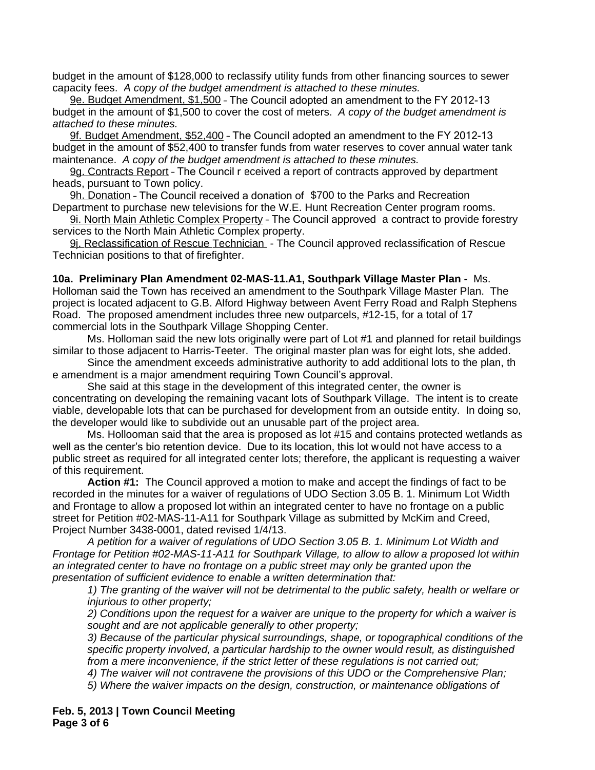budget in the amount of \$128,000 to reclassify utility funds from other financing sources to sewer capacity fees. *A copy of the budget amendment is attached to these minutes.* 

9e. Budget Amendment, \$1,500 – The Council adopted an amendment to the FY 2012-13 budget in the amount of \$1,500 to cover the cost of meters. *A copy of the budget amendment is attached to these minutes.*

9f. Budget Amendment, \$52,400 – The Council adopted an amendment to the FY 2012-13 budget in the amount of \$52,400 to transfer funds from water reserves to cover annual water tank maintenance. *A copy of the budget amendment is attached to these minutes.*

9g. Contracts Report – The Council r eceived a report of contracts approved by department heads, pursuant to Town policy.

9h. Donation – The Council received a donation of \$700 to the Parks and Recreation Department to purchase new televisions for the W.E. Hunt Recreation Center program rooms.

9i. North Main Athletic Complex Property – The Council approved a contract to provide forestry services to the North Main Athletic Complex property.

9j. Reclassification of Rescue Technician - The Council approved reclassification of Rescue Technician positions to that of firefighter.

**10a. Preliminary Plan Amendment 02-MAS-11.A1, Southpark Village Master Plan -** Ms.

Holloman said the Town has received an amendment to the Southpark Village Master Plan. The project is located adjacent to G.B. Alford Highway between Avent Ferry Road and Ralph Stephens Road. The proposed amendment includes three new outparcels, #12-15, for a total of 17 commercial lots in the Southpark Village Shopping Center.

Ms. Holloman said the new lots originally were part of Lot #1 and planned for retail buildings similar to those adjacent to Harris-Teeter. The original master plan was for eight lots, she added.

Since the amendment exceeds administrative authority to add additional lots to the plan, th e amendment is a major amendment requiring Town Council's approval.

She said at this stage in the development of this integrated center, the owner is concentrating on developing the remaining vacant lots of Southpark Village. The intent is to create viable, developable lots that can be purchased for development from an outside entity. In doing so, the developer would like to subdivide out an unusable part of the project area.

Ms. Hollooman said that the area is proposed as lot #15 and contains protected wetlands as well as the center's bio retention device. Due to its location, this lot would not have access to a public street as required for all integrated center lots; therefore, the applicant is requesting a waiver of this requirement.

**Action #1:** The Council approved a motion to make and accept the findings of fact to be recorded in the minutes for a waiver of regulations of UDO Section 3.05 B. 1. Minimum Lot Width and Frontage to allow a proposed lot within an integrated center to have no frontage on a public street for Petition #02-MAS-11-A11 for Southpark Village as submitted by McKim and Creed, Project Number 3438-0001, dated revised 1/4/13.

*A petition for a waiver of regulations of UDO Section 3.05 B. 1. Minimum Lot Width and Frontage for Petition #02-MAS-11-A11 for Southpark Village, to allow to allow a proposed lot within an integrated center to have no frontage on a public street may only be granted upon the presentation of sufficient evidence to enable a written determination that:*

*1) The granting of the waiver will not be detrimental to the public safety, health or welfare or injurious to other property;*

*2) Conditions upon the request for a waiver are unique to the property for which a waiver is sought and are not applicable generally to other property;*

*3) Because of the particular physical surroundings, shape, or topographical conditions of the specific property involved, a particular hardship to the owner would result, as distinguished from a mere inconvenience, if the strict letter of these regulations is not carried out;*

*4) The waiver will not contravene the provisions of this UDO or the Comprehensive Plan;*

*5) Where the waiver impacts on the design, construction, or maintenance obligations of* 

**Feb. 5, 2013 | Town Council Meeting Page 3 of 6**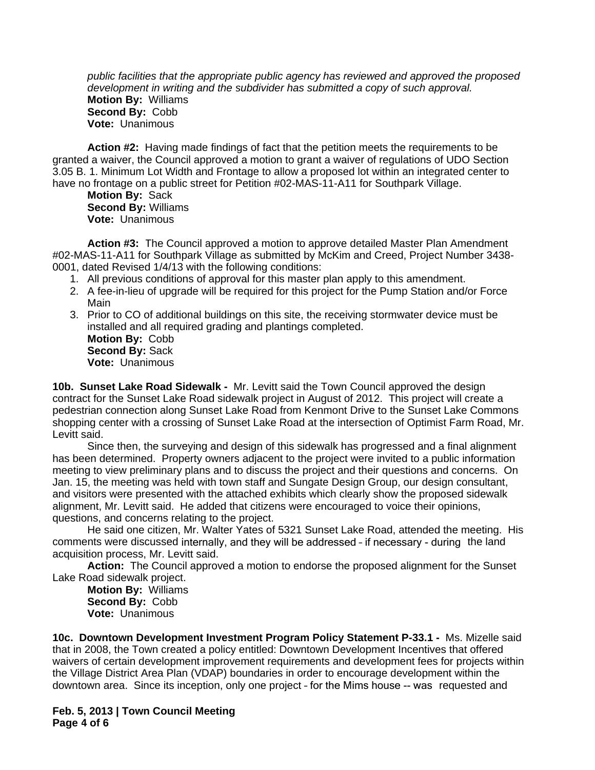*public facilities that the appropriate public agency has reviewed and approved the proposed development in writing and the subdivider has submitted a copy of such approval.* **Motion By:** Williams **Second By:** Cobb **Vote:** Unanimous

**Action #2:** Having made findings of fact that the petition meets the requirements to be granted a waiver, the Council approved a motion to grant a waiver of regulations of UDO Section 3.05 B. 1. Minimum Lot Width and Frontage to allow a proposed lot within an integrated center to have no frontage on a public street for Petition #02-MAS-11-A11 for Southpark Village.

**Motion By:** Sack **Second By:** Williams **Vote:** Unanimous

**Action #3:** The Council approved a motion to approve detailed Master Plan Amendment #02-MAS-11-A11 for Southpark Village as submitted by McKim and Creed, Project Number 3438- 0001, dated Revised 1/4/13 with the following conditions:

- 1. All previous conditions of approval for this master plan apply to this amendment.
- 2. A fee-in-lieu of upgrade will be required for this project for the Pump Station and/or Force Main
- 3. Prior to CO of additional buildings on this site, the receiving stormwater device must be installed and all required grading and plantings completed. **Motion By:** Cobb **Second By:** Sack

**Vote:** Unanimous

**10b. Sunset Lake Road Sidewalk -** Mr. Levitt said the Town Council approved the design contract for the Sunset Lake Road sidewalk project in August of 2012. This project will create a pedestrian connection along Sunset Lake Road from Kenmont Drive to the Sunset Lake Commons shopping center with a crossing of Sunset Lake Road at the intersection of Optimist Farm Road, Mr. Levitt said.

Since then, the surveying and design of this sidewalk has progressed and a final alignment has been determined. Property owners adjacent to the project were invited to a public information meeting to view preliminary plans and to discuss the project and their questions and concerns. On Jan. 15, the meeting was held with town staff and Sungate Design Group, our design consultant, and visitors were presented with the attached exhibits which clearly show the proposed sidewalk alignment, Mr. Levitt said. He added that citizens were encouraged to voice their opinions, questions, and concerns relating to the project.

He said one citizen, Mr. Walter Yates of 5321 Sunset Lake Road, attended the meeting. His comments were discussed internally, and they will be addressed – if necessary - during the land acquisition process, Mr. Levitt said.

**Action:** The Council approved a motion to endorse the proposed alignment for the Sunset Lake Road sidewalk project.

**Motion By:** Williams **Second By:** Cobb **Vote:** Unanimous

**10c. Downtown Development Investment Program Policy Statement P-33.1 -** Ms. Mizelle said that in 2008, the Town created a policy entitled: Downtown Development Incentives that offered waivers of certain development improvement requirements and development fees for projects within the Village District Area Plan (VDAP) boundaries in order to encourage development within the downtown area. Since its inception, only one project – for the Mims house -- was requested and

**Feb. 5, 2013 | Town Council Meeting Page 4 of 6**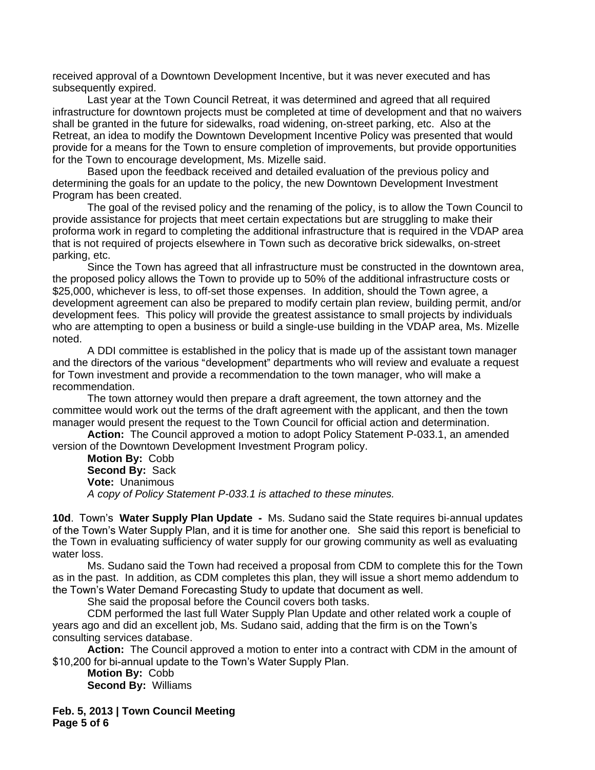received approval of a Downtown Development Incentive, but it was never executed and has subsequently expired.

Last year at the Town Council Retreat, it was determined and agreed that all required infrastructure for downtown projects must be completed at time of development and that no waivers shall be granted in the future for sidewalks, road widening, on-street parking, etc. Also at the Retreat, an idea to modify the Downtown Development Incentive Policy was presented that would provide for a means for the Town to ensure completion of improvements, but provide opportunities for the Town to encourage development, Ms. Mizelle said.

Based upon the feedback received and detailed evaluation of the previous policy and determining the goals for an update to the policy, the new Downtown Development Investment Program has been created.

The goal of the revised policy and the renaming of the policy, is to allow the Town Council to provide assistance for projects that meet certain expectations but are struggling to make their proforma work in regard to completing the additional infrastructure that is required in the VDAP area that is not required of projects elsewhere in Town such as decorative brick sidewalks, on-street parking, etc.

Since the Town has agreed that all infrastructure must be constructed in the downtown area, the proposed policy allows the Town to provide up to 50% of the additional infrastructure costs or \$25,000, whichever is less, to off-set those expenses. In addition, should the Town agree, a development agreement can also be prepared to modify certain plan review, building permit, and/or development fees. This policy will provide the greatest assistance to small projects by individuals who are attempting to open a business or build a single-use building in the VDAP area, Ms. Mizelle noted.

A DDI committee is established in the policy that is made up of the assistant town manager and the directors of the various "development" departments who will review and evaluate a request for Town investment and provide a recommendation to the town manager, who will make a recommendation.

The town attorney would then prepare a draft agreement, the town attorney and the committee would work out the terms of the draft agreement with the applicant, and then the town manager would present the request to the Town Council for official action and determination.

**Action:** The Council approved a motion to adopt Policy Statement P-033.1, an amended version of the Downtown Development Investment Program policy.

**Motion By:** Cobb **Second By:** Sack **Vote:** Unanimous *A copy of Policy Statement P-033.1 is attached to these minutes.*

**10d**. Town's **Water Supply Plan Update -** Ms. Sudano said the State requires bi-annual updates of the Town's Water Supply Plan, and it is time for another one. She said this report is beneficial to the Town in evaluating sufficiency of water supply for our growing community as well as evaluating water loss.

Ms. Sudano said the Town had received a proposal from CDM to complete this for the Town as in the past. In addition, as CDM completes this plan, they will issue a short memo addendum to the Town's Water Demand Forecasting Study to update that document as well.

She said the proposal before the Council covers both tasks.

CDM performed the last full Water Supply Plan Update and other related work a couple of years ago and did an excellent job, Ms. Sudano said, adding that the firm is on the Town's consulting services database.

**Action:** The Council approved a motion to enter into a contract with CDM in the amount of \$10,200 for bi-annual update to the Town's Water Supply Plan.

**Motion By:** Cobb **Second By:** Williams

**Feb. 5, 2013 | Town Council Meeting Page 5 of 6**